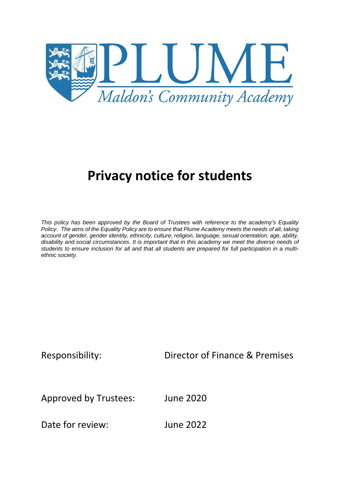

# **Privacy notice for students**

*This policy has been approved by the Board of Trustees with reference to the academy's Equality Policy. The aims of the Equality Policy are to ensure that Plume Academy meets the needs of all, taking account of gender, gender identity, ethnicity, culture, religion, language, sexual orientation, age, ability, disability and social circumstances. It is important that in this academy we meet the diverse needs of students to ensure inclusion for all and that all students are prepared for full participation in a multiethnic society.*

Responsibility: Director of Finance & Premises

Approved by Trustees: June 2020

Date for review: June 2022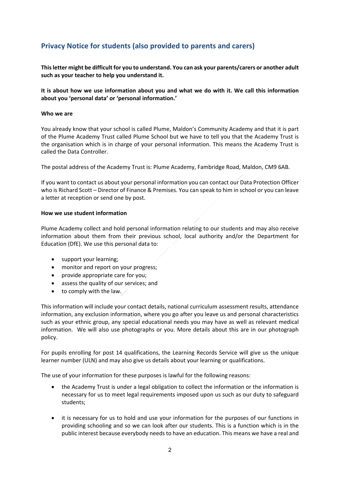# **Privacy Notice for students (also provided to parents and carers)**

**This letter might be difficult for you to understand. You can ask your parents/carers or another adult such as your teacher to help you understand it.** 

**It is about how we use information about you and what we do with it. We call this information about you 'personal data' or 'personal information.'** 

#### **Who we are**

You already know that your school is called Plume, Maldon's Community Academy and that it is part of the Plume Academy Trust called Plume School but we have to tell you that the Academy Trust is the organisation which is in charge of your personal information. This means the Academy Trust is called the Data Controller.

The postal address of the Academy Trust is: Plume Academy, Fambridge Road, Maldon, CM9 6AB.

If you want to contact us about your personal information you can contact our Data Protection Officer who is Richard Scott – Director of Finance & Premises. You can speak to him in school or you can leave a letter at reception or send one by post.

#### **How we use student information**

Plume Academy collect and hold personal information relating to our students and may also receive information about them from their previous school, local authority and/or the Department for Education (DfE). We use this personal data to:

- support your learning;
- monitor and report on your progress;
- provide appropriate care for you;
- assess the quality of our services; and
- $\bullet$  to comply with the law.

This information will include your contact details, national curriculum assessment results, attendance information, any exclusion information, where you go after you leave us and personal characteristics such as your ethnic group, any special educational needs you may have as well as relevant medical information. We will also use photographs or you. More details about this are in our photograph policy.

For pupils enrolling for post 14 qualifications, the Learning Records Service will give us the unique learner number (ULN) and may also give us details about your learning or qualifications.

The use of your information for these purposes is lawful for the following reasons:

- the Academy Trust is under a legal obligation to collect the information or the information is necessary for us to meet legal requirements imposed upon us such as our duty to safeguard students;
- it is necessary for us to hold and use your information for the purposes of our functions in providing schooling and so we can look after our students. This is a function which is in the public interest because everybody needs to have an education. This means we have a real and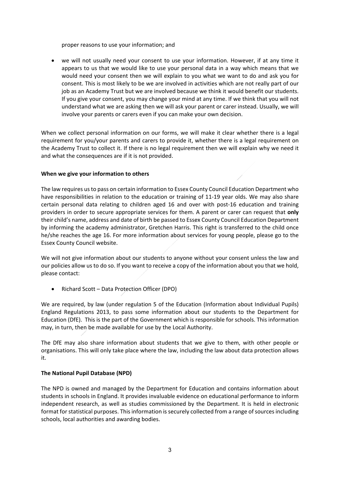proper reasons to use your information; and

 we will not usually need your consent to use your information. However, if at any time it appears to us that we would like to use your personal data in a way which means that we would need your consent then we will explain to you what we want to do and ask you for consent. This is most likely to be we are involved in activities which are not really part of our job as an Academy Trust but we are involved because we think it would benefit our students. If you give your consent, you may change your mind at any time. If we think that you will not understand what we are asking then we will ask your parent or carer instead. Usually, we will involve your parents or carers even if you can make your own decision.

When we collect personal information on our forms, we will make it clear whether there is a legal requirement for you/your parents and carers to provide it, whether there is a legal requirement on the Academy Trust to collect it. If there is no legal requirement then we will explain why we need it and what the consequences are if it is not provided.

#### **When we give your information to others**

The law requires us to pass on certain information to Essex County Council Education Department who have responsibilities in relation to the education or training of 11-19 year olds. We may also share certain personal data relating to children aged 16 and over with post‐16 education and training providers in order to secure appropriate services for them. A parent or carer can request that **only** their child's name, address and date of birth be passed to Essex County Council Education Department by informing the academy administrator, Gretchen Harris. This right is transferred to the child once he/she reaches the age 16. For more information about services for young people, please go to the Essex County Council website.

We will not give information about our students to anyone without your consent unless the law and our policies allow us to do so. If you want to receive a copy of the information about you that we hold, please contact:

• Richard Scott – Data Protection Officer (DPO)

We are required, by law (under regulation 5 of the Education (Information about Individual Pupils) England Regulations 2013, to pass some information about our students to the Department for Education (DfE). This is the part of the Government which is responsible for schools. This information may, in turn, then be made available for use by the Local Authority.

The DfE may also share information about students that we give to them, with other people or organisations. This will only take place where the law, including the law about data protection allows it.

# **The National Pupil Database (NPD)**

The NPD is owned and managed by the Department for Education and contains information about students in schools in England. It provides invaluable evidence on educational performance to inform independent research, as well as studies commissioned by the Department. It is held in electronic format for statistical purposes. This information is securely collected from a range of sources including schools, local authorities and awarding bodies.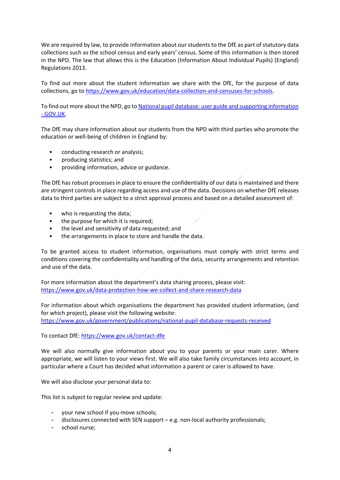We are required by law, to provide information about our students to the DfE as part of statutory data collections such as the school census and early years' census. Some of this information is then stored in the NPD. The law that allows this is the Education (Information About Individual Pupils) (England) Regulations 2013.

To find out more about the student information we share with the DfE, for the purpose of data collections, go to https://www.gov.uk/education/data‐collection‐and‐censuses‐for‐schools.

To find out more about the NPD, go to National pupil database: user guide and supporting information ‐ GOV.UK.

The DfE may share information about our students from the NPD with third parties who promote the education or well‐being of children in England by:

- conducting research or analysis;
- producing statistics; and
- providing information, advice or guidance.

The DfE has robust processes in place to ensure the confidentiality of our data is maintained and there are stringent controls in place regarding access and use of the data. Decisions on whether DfE releases data to third parties are subject to a strict approval process and based on a detailed assessment of:

- who is requesting the data;
- the purpose for which it is required;
- the level and sensitivity of data requested; and
- the arrangements in place to store and handle the data.

To be granted access to student information, organisations must comply with strict terms and conditions covering the confidentiality and handling of the data, security arrangements and retention and use of the data.

For more information about the department's data sharing process, please visit: https://www.gov.uk/data‐protection‐how‐we‐collect‐and‐share‐research‐data

For information about which organisations the department has provided student information, (and for which project), please visit the following website: https://www.gov.uk/government/publications/national‐pupil‐database‐requests‐received

To contact DfE: https://www.gov.uk/contact‐dfe

We will also normally give information about you to your parents or your main carer. Where appropriate, we will listen to your views first. We will also take family circumstances into account, in particular where a Court has decided what information a parent or carer is allowed to have.

We will also disclose your personal data to:

This list is subject to regular review and update:

- your new school if you move schools;
- disclosures connected with SEN support e.g. non‐local authority professionals;
- school nurse;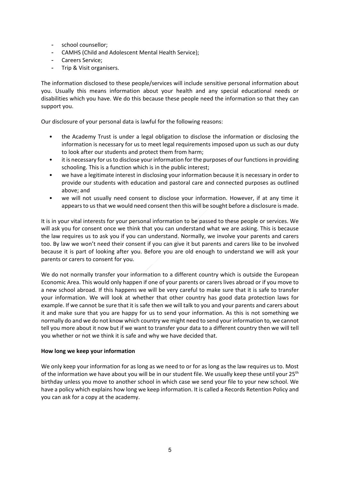- school counsellor;
- CAMHS (Child and Adolescent Mental Health Service);
- Careers Service;
- Trip & Visit organisers.

The information disclosed to these people/services will include sensitive personal information about you. Usually this means information about your health and any special educational needs or disabilities which you have. We do this because these people need the information so that they can support you.

Our disclosure of your personal data is lawful for the following reasons:

- the Academy Trust is under a legal obligation to disclose the information or disclosing the information is necessary for us to meet legal requirements imposed upon us such as our duty to look after our students and protect them from harm;
- it is necessary for us to disclose your information for the purposes of our functions in providing schooling. This is a function which is in the public interest;
- we have a legitimate interest in disclosing your information because it is necessary in order to provide our students with education and pastoral care and connected purposes as outlined above; and
- we will not usually need consent to disclose your information. However, if at any time it appears to us that we would need consent then this will be sought before a disclosure is made.

It is in your vital interests for your personal information to be passed to these people or services. We will ask you for consent once we think that you can understand what we are asking. This is because the law requires us to ask you if you can understand. Normally, we involve your parents and carers too. By law we won't need their consent if you can give it but parents and carers like to be involved because it is part of looking after you. Before you are old enough to understand we will ask your parents or carers to consent for you.

We do not normally transfer your information to a different country which is outside the European Economic Area. This would only happen if one of your parents or carers lives abroad or if you move to a new school abroad. If this happens we will be very careful to make sure that it is safe to transfer your information. We will look at whether that other country has good data protection laws for example. If we cannot be sure that it is safe then we will talk to you and your parents and carers about it and make sure that you are happy for us to send your information. As this is not something we normally do and we do not know which country we might need to send your information to, we cannot tell you more about it now but if we want to transfer your data to a different country then we will tell you whether or not we think it is safe and why we have decided that.

# **How long we keep your information**

We only keep your information for as long as we need to or for as long as the law requires us to. Most of the information we have about you will be in our student file. We usually keep these until your 25<sup>th</sup> birthday unless you move to another school in which case we send your file to your new school. We have a policy which explains how long we keep information. It is called a Records Retention Policy and you can ask for a copy at the academy.